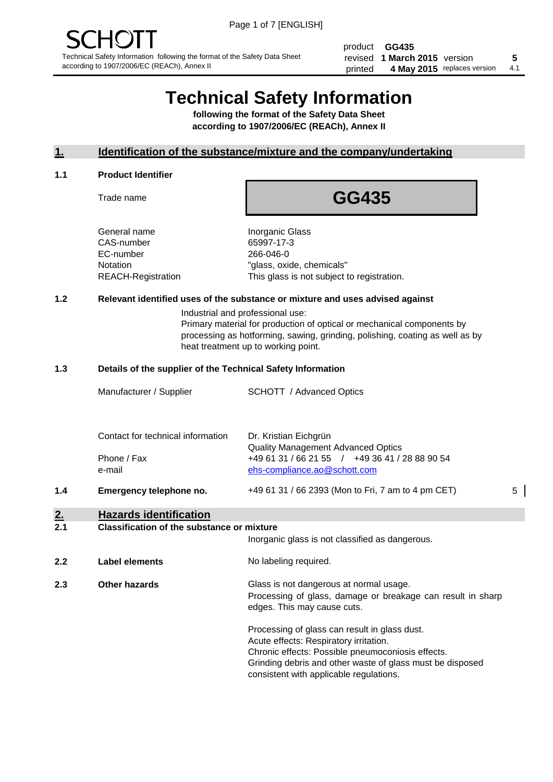product **GG435** revised **5 1 March 2015** version printed 4 May 2015 replaces version 4.1

# **Technical Safety Information**

**following the format of the Safety Data Sheet according to 1907/2006/EC (REACh), Annex II**

#### **1. Identification of the substance/mixture and the company/undertaking**

#### **1.1 Product Identifier**

Trade name

## **GG435**

General name **Inorganic Glass** CAS-number 65997-17-3 EC-number 266-046-0

Notation "glass, oxide, chemicals" REACH-Registration This glass is not subject to registration.

#### **1.2 Relevant identified uses of the substance or mixture and uses advised against**

Industrial and professional use: Primary material for production of optical or mechanical components by processing as hotforming, sawing, grinding, polishing, coating as well as by heat treatment up to working point.

#### **1.3 Details of the supplier of the Technical Safety Information**

|     | Manufacturer / Supplier           | <b>SCHOTT</b> / Advanced Optics                                                                                             |   |
|-----|-----------------------------------|-----------------------------------------------------------------------------------------------------------------------------|---|
|     | Contact for technical information | Dr. Kristian Eichgrün                                                                                                       |   |
|     | Phone / Fax<br>e-mail             | <b>Quality Management Advanced Optics</b><br>+49 61 31 / 66 21 55 / +49 36 41 / 28 88 90 54<br>ehs-compliance.ao@schott.com |   |
| 1.4 | Emergency telephone no.           | +49 61 31 / 66 2393 (Mon to Fri, 7 am to 4 pm CET)                                                                          | 5 |

### **2. Hazards identification**

#### **2.1 Classification of the substance or mixture**

|     |                      | Inorganic glass is not classified as dangerous.                                                                                                                                                                                                      |  |
|-----|----------------------|------------------------------------------------------------------------------------------------------------------------------------------------------------------------------------------------------------------------------------------------------|--|
| 2.2 | Label elements       | No labeling required.                                                                                                                                                                                                                                |  |
| 2.3 | <b>Other hazards</b> | Glass is not dangerous at normal usage.<br>Processing of glass, damage or breakage can result in sharp<br>edges. This may cause cuts.                                                                                                                |  |
|     |                      | Processing of glass can result in glass dust.<br>Acute effects: Respiratory irritation.<br>Chronic effects: Possible pneumoconiosis effects.<br>Grinding debris and other waste of glass must be disposed<br>consistent with applicable regulations. |  |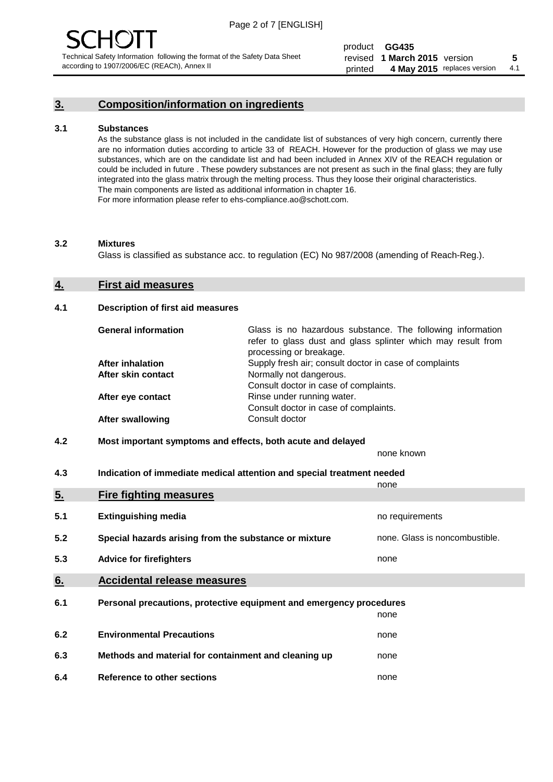#### **3. Composition/information on ingredients**

#### **3.1 Substances**

As the substance glass is not included in the candidate list of substances of very high concern, currently there are no information duties according to article 33 of REACH. However for the production of glass we may use substances, which are on the candidate list and had been included in Annex XIV of the REACH regulation or could be included in future . These powdery substances are not present as such in the final glass; they are fully integrated into the glass matrix through the melting process. Thus they loose their original characteristics. The main components are listed as additional information in chapter 16. For more information please refer to ehs-compliance.ao@schott.com.

#### **3.2 Mixtures**

Glass is classified as substance acc. to regulation (EC) No 987/2008 (amending of Reach-Reg.).

#### **4. First aid measures**

#### **4.1 Description of first aid measures**

| <b>General information</b> | Glass is no hazardous substance. The following information<br>refer to glass dust and glass splinter which may result from<br>processing or breakage. |
|----------------------------|-------------------------------------------------------------------------------------------------------------------------------------------------------|
| <b>After inhalation</b>    | Supply fresh air; consult doctor in case of complaints                                                                                                |
| After skin contact         | Normally not dangerous.                                                                                                                               |
|                            | Consult doctor in case of complaints.                                                                                                                 |
| After eye contact          | Rinse under running water.                                                                                                                            |
|                            | Consult doctor in case of complaints.                                                                                                                 |
| <b>After swallowing</b>    | Consult doctor                                                                                                                                        |

#### **4.2 Most important symptoms and effects, both acute and delayed**

none known

**4.3 Indication of immediate medical attention and special treatment needed** 

|     |                                                                     | none                           |
|-----|---------------------------------------------------------------------|--------------------------------|
| 5.  | <b>Fire fighting measures</b>                                       |                                |
| 5.1 | <b>Extinguishing media</b>                                          | no requirements                |
| 5.2 | Special hazards arising from the substance or mixture               | none. Glass is noncombustible. |
| 5.3 | <b>Advice for firefighters</b>                                      | none                           |
| 6.  | <b>Accidental release measures</b>                                  |                                |
| 6.1 | Personal precautions, protective equipment and emergency procedures |                                |
|     |                                                                     | none                           |
| 6.2 | <b>Environmental Precautions</b>                                    | none                           |
| 6.3 | Methods and material for containment and cleaning up                | none                           |
| 6.4 | Reference to other sections                                         | none                           |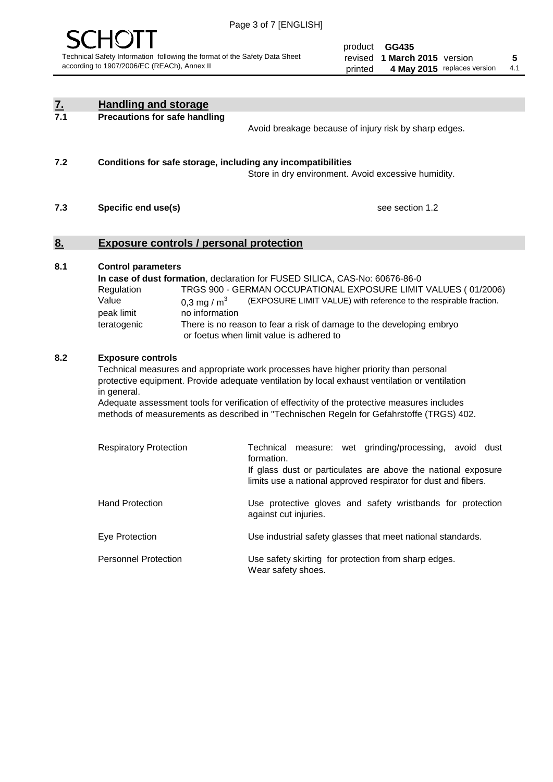

| <u>7.</u><br>7.1 | <b>Handling and storage</b>                                                   |                                 |                                                                                                                                                                                                                                                                                                                                                                                     |
|------------------|-------------------------------------------------------------------------------|---------------------------------|-------------------------------------------------------------------------------------------------------------------------------------------------------------------------------------------------------------------------------------------------------------------------------------------------------------------------------------------------------------------------------------|
|                  | <b>Precautions for safe handling</b>                                          |                                 | Avoid breakage because of injury risk by sharp edges.                                                                                                                                                                                                                                                                                                                               |
| 7.2              |                                                                               |                                 | Conditions for safe storage, including any incompatibilities<br>Store in dry environment. Avoid excessive humidity.                                                                                                                                                                                                                                                                 |
| 7.3              | Specific end use(s)                                                           |                                 | see section 1.2                                                                                                                                                                                                                                                                                                                                                                     |
| <u>8.</u>        | <b>Exposure controls / personal protection</b>                                |                                 |                                                                                                                                                                                                                                                                                                                                                                                     |
| 8.1              | <b>Control parameters</b><br>Regulation<br>Value<br>peak limit<br>teratogenic | 0,3 mg / $m3$<br>no information | In case of dust formation, declaration for FUSED SILICA, CAS-No: 60676-86-0<br>TRGS 900 - GERMAN OCCUPATIONAL EXPOSURE LIMIT VALUES (01/2006)<br>(EXPOSURE LIMIT VALUE) with reference to the respirable fraction.<br>There is no reason to fear a risk of damage to the developing embryo<br>or foetus when limit value is adhered to                                              |
| 8.2              | <b>Exposure controls</b><br>in general.                                       |                                 | Technical measures and appropriate work processes have higher priority than personal<br>protective equipment. Provide adequate ventilation by local exhaust ventilation or ventilation<br>Adequate assessment tools for verification of effectivity of the protective measures includes<br>methods of measurements as described in "Technischen Regeln for Gefahrstoffe (TRGS) 402. |
|                  | <b>Respiratory Protection</b>                                                 |                                 | Technical<br>measure: wet grinding/processing, avoid dust<br>formation.<br>If glass dust or particulates are above the national exposure<br>limits use a national approved respirator for dust and fibers.                                                                                                                                                                          |
|                  | <b>Hand Protection</b>                                                        |                                 | Use protective gloves and safety wristbands for protection<br>against cut injuries.                                                                                                                                                                                                                                                                                                 |
|                  | Eye Protection                                                                |                                 | Use industrial safety glasses that meet national standards.                                                                                                                                                                                                                                                                                                                         |
|                  | <b>Personnel Protection</b>                                                   |                                 | Use safety skirting for protection from sharp edges.<br>Wear safety shoes.                                                                                                                                                                                                                                                                                                          |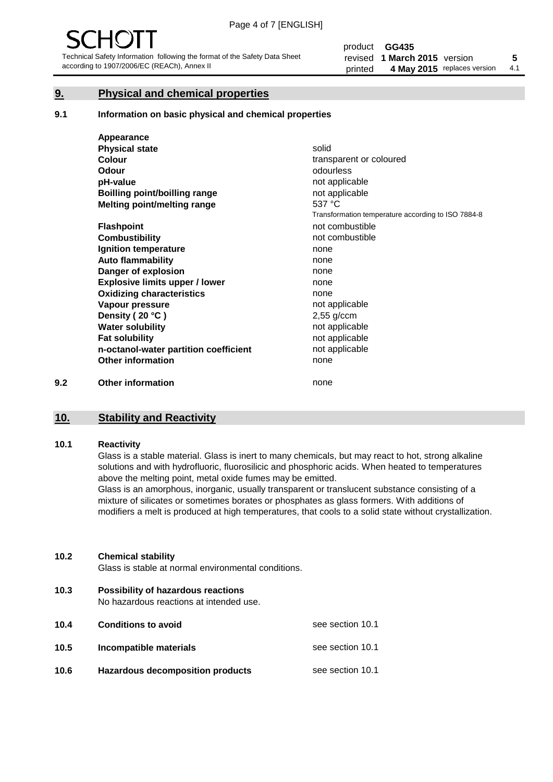#### **9. Physical and chemical properties**

#### **9.1 Information on basic physical and chemical properties**

|     | Appearance                            |                                                    |
|-----|---------------------------------------|----------------------------------------------------|
|     | <b>Physical state</b>                 | solid                                              |
|     | <b>Colour</b>                         | transparent or coloured                            |
|     | <b>Odour</b>                          | odourless                                          |
|     | pH-value                              | not applicable                                     |
|     | <b>Boilling point/boilling range</b>  | not applicable                                     |
|     | Melting point/melting range           | 537 °C                                             |
|     |                                       | Transformation temperature according to ISO 7884-8 |
|     | <b>Flashpoint</b>                     | not combustible                                    |
|     | <b>Combustibility</b>                 | not combustible                                    |
|     | Ignition temperature                  | none                                               |
|     | <b>Auto flammability</b>              | none                                               |
|     | Danger of explosion                   | none                                               |
|     | <b>Explosive limits upper / lower</b> | none                                               |
|     | <b>Oxidizing characteristics</b>      | none                                               |
|     | Vapour pressure                       | not applicable                                     |
|     | Density (20 °C)                       | $2,55$ g/ccm                                       |
|     | <b>Water solubility</b>               | not applicable                                     |
|     | <b>Fat solubility</b>                 | not applicable                                     |
|     | n-octanol-water partition coefficient | not applicable                                     |
|     | <b>Other information</b>              | none                                               |
| 9.2 | <b>Other information</b>              | none                                               |

#### **10. Stability and Reactivity**

#### **10.1 Reactivity**

Glass is a stable material. Glass is inert to many chemicals, but may react to hot, strong alkaline solutions and with hydrofluoric, fluorosilicic and phosphoric acids. When heated to temperatures above the melting point, metal oxide fumes may be emitted.

Glass is an amorphous, inorganic, usually transparent or translucent substance consisting of a mixture of silicates or sometimes borates or phosphates as glass formers. With additions of modifiers a melt is produced at high temperatures, that cools to a solid state without crystallization.

#### **10.2 Chemical stability**

Glass is stable at normal environmental conditions.

**10.3 Possibility of hazardous reactions** 

No hazardous reactions at intended use.

| 10.4 | <b>Conditions to avoid</b>              | see section 10.1 |
|------|-----------------------------------------|------------------|
| 10.5 | Incompatible materials                  | see section 10.1 |
| 10.6 | <b>Hazardous decomposition products</b> | see section 10.1 |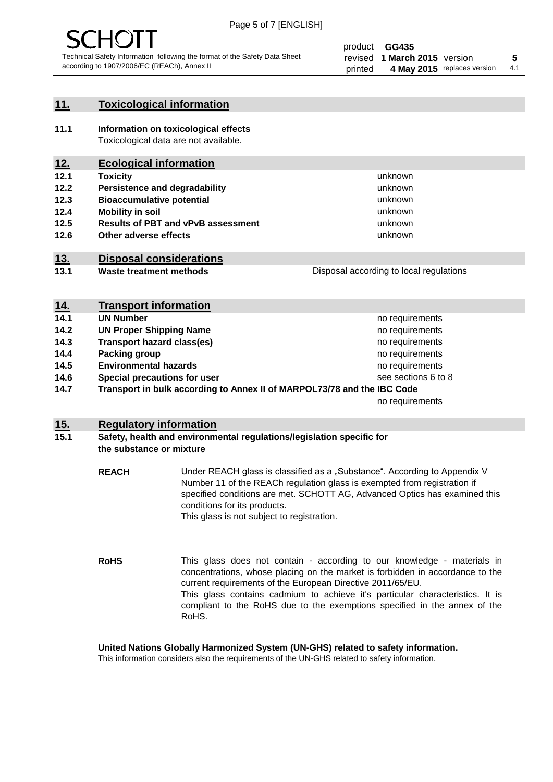

#### **11. Toxicological information**

**11.1 Information on toxicological effects** Toxicological data are not available.

#### **12. Ecological information**

- **12.1 Toxicity**
- **12.2 Persistence and degradability**
- **12.3 Bioaccumulative potential**
- **12.4 Mobility in soil**
- **12.5 Results of PBT and vPvB assessment**
- **12.6 Other adverse effects**

#### **13. Disposal considerations**

**13.1 Waste treatment methods**

Disposal according to local regulations

unknown unknown unknown unknown

unknown unknown

| <u>14.</u> | <b>Transport information</b>                                            |                     |
|------------|-------------------------------------------------------------------------|---------------------|
| 14.1       | <b>UN Number</b>                                                        | no requirements     |
| 14.2       | <b>UN Proper Shipping Name</b>                                          | no requirements     |
| 14.3       | <b>Transport hazard class(es)</b>                                       | no requirements     |
| 14.4       | Packing group                                                           | no requirements     |
| 14.5       | <b>Environmental hazards</b>                                            | no requirements     |
| 14.6       | Special precautions for user                                            | see sections 6 to 8 |
| 14.7       | Transport in bulk according to Annex II of MARPOL73/78 and the IBC Code |                     |
|            |                                                                         | no requirements     |

#### **15. Regulatory information**

#### **15.1 Safety, health and environmental regulations/legislation specific for the substance or mixture**

**REACH** Under REACH glass is classified as a "Substance". According to Appendix V Number 11 of the REACh regulation glass is exempted from registration if specified conditions are met. SCHOTT AG, Advanced Optics has examined this conditions for its products. This glass is not subject to registration.

**RoHS** This glass does not contain - according to our knowledge - materials in concentrations, whose placing on the market is forbidden in accordance to the current requirements of the European Directive 2011/65/EU. This glass contains cadmium to achieve it's particular characteristics. It is compliant to the RoHS due to the exemptions specified in the annex of the RoHS.

**United Nations Globally Harmonized System (UN-GHS) related to safety information.**

This information considers also the requirements of the UN-GHS related to safety information.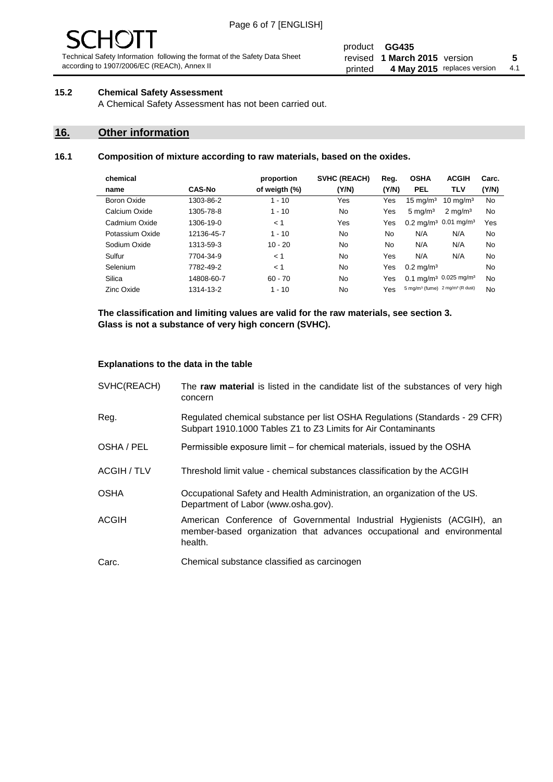# - JF

Technical Safety Information following the format of the Safety Data Sheet according to 1907/2006/EC (REACh), Annex II

#### product **GG435** revised **5 1 March 2015** version printed 4 May 2015 replaces version 4.1

#### **15.2 Chemical Safety Assessment**

A Chemical Safety Assessment has not been carried out.

#### **16. Other information**

#### **16.1 Composition of mixture according to raw materials, based on the oxides.**

| chemical        |               | proportion    | SVHC (REACH) | Reg.  | <b>OSHA</b>                                             | <b>ACGIH</b>                                  | Carc. |
|-----------------|---------------|---------------|--------------|-------|---------------------------------------------------------|-----------------------------------------------|-------|
| name            | <b>CAS-No</b> | of weigth (%) | (Y/N)        | (Y/N) | <b>PEL</b>                                              | <b>TLV</b>                                    | (Y/N) |
| Boron Oxide     | 1303-86-2     | $1 - 10$      | Yes          | Yes   | $15 \text{ mg/m}^3$                                     | $10 \text{ ma/m}^3$                           | No    |
| Calcium Oxide   | 1305-78-8     | $1 - 10$      | No           | Yes   | $5 \text{ mg/m}^3$                                      | $2 \text{ mg/m}^3$                            | No    |
| Cadmium Oxide   | 1306-19-0     | < 1           | Yes          | Yes   |                                                         | $0.2 \text{ mg/m}^3$ 0.01 mg/m <sup>3</sup>   | Yes   |
| Potassium Oxide | 12136-45-7    | $1 - 10$      | No           | No    | N/A                                                     | N/A                                           | No    |
| Sodium Oxide    | 1313-59-3     | $10 - 20$     | No           | No.   | N/A                                                     | N/A                                           | No    |
| Sulfur          | 7704-34-9     | < 1           | No           | Yes   | N/A                                                     | N/A                                           | No    |
| Selenium        | 7782-49-2     | < 1           | No           | Yes   | $0.2 \,\mathrm{mq/m^3}$                                 |                                               | No    |
| Silica          | 14808-60-7    | $60 - 70$     | No           | Yes   |                                                         | 0.1 mg/m <sup>3</sup> 0.025 mg/m <sup>3</sup> | No    |
| Zinc Oxide      | 1314-13-2     | $1 - 10$      | No           | Yes   | 5 mg/m <sup>3</sup> (fume) 2 mg/m <sup>3</sup> (R dust) |                                               | No    |

**The classification and limiting values are valid for the raw materials, see section 3. Glass is not a substance of very high concern (SVHC).**

#### **Explanations to the data in the table**

| SVHC(REACH)        | The raw material is listed in the candidate list of the substances of very high<br>concern                                                                 |
|--------------------|------------------------------------------------------------------------------------------------------------------------------------------------------------|
| Reg.               | Regulated chemical substance per list OSHA Regulations (Standards - 29 CFR)<br>Subpart 1910.1000 Tables Z1 to Z3 Limits for Air Contaminants               |
| OSHA / PEL         | Permissible exposure limit – for chemical materials, issued by the OSHA                                                                                    |
| <b>ACGIH / TLV</b> | Threshold limit value - chemical substances classification by the ACGIH                                                                                    |
| <b>OSHA</b>        | Occupational Safety and Health Administration, an organization of the US.<br>Department of Labor (www.osha.gov).                                           |
| ACGIH              | American Conference of Governmental Industrial Hygienists (ACGIH), an<br>member-based organization that advances occupational and environmental<br>health. |
| Carc.              | Chemical substance classified as carcinogen                                                                                                                |